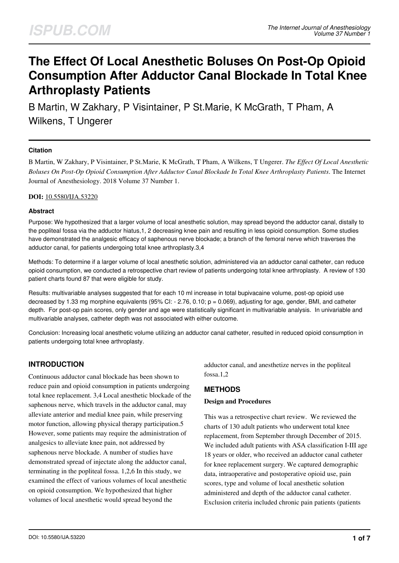# **The Effect Of Local Anesthetic Boluses On Post-Op Opioid Consumption After Adductor Canal Blockade In Total Knee Arthroplasty Patients**

B Martin, W Zakhary, P Visintainer, P St.Marie, K McGrath, T Pham, A Wilkens, T Ungerer

## **Citation**

B Martin, W Zakhary, P Visintainer, P St.Marie, K McGrath, T Pham, A Wilkens, T Ungerer. *The Effect Of Local Anesthetic Boluses On Post-Op Opioid Consumption After Adductor Canal Blockade In Total Knee Arthroplasty Patients*. The Internet Journal of Anesthesiology. 2018 Volume 37 Number 1.

#### **DOI:** [10.5580/IJA.53220](https://ispub.com/doi/10.5580/IJA.53220)

#### **Abstract**

Purpose: We hypothesized that a larger volume of local anesthetic solution, may spread beyond the adductor canal, distally to the popliteal fossa via the adductor hiatus,1, 2 decreasing knee pain and resulting in less opioid consumption. Some studies have demonstrated the analgesic efficacy of saphenous nerve blockade; a branch of the femoral nerve which traverses the adductor canal, for patients undergoing total knee arthroplasty.3,4

Methods: To determine if a larger volume of local anesthetic solution, administered via an adductor canal catheter, can reduce opioid consumption, we conducted a retrospective chart review of patients undergoing total knee arthroplasty. A review of 130 patient charts found 87 that were eligible for study.

Results: multivariable analyses suggested that for each 10 ml increase in total bupivacaine volume, post-op opioid use decreased by 1.33 mg morphine equivalents (95% CI: - 2.76, 0.10; p = 0.069), adjusting for age, gender, BMI, and catheter depth. For post-op pain scores, only gender and age were statistically significant in multivariable analysis. In univariable and multivariable analyses, catheter depth was not associated with either outcome.

Conclusion: Increasing local anesthetic volume utilizing an adductor canal catheter, resulted in reduced opioid consumption in patients undergoing total knee arthroplasty.

# **INTRODUCTION**

Continuous adductor canal blockade has been shown to reduce pain and opioid consumption in patients undergoing total knee replacement. 3,4 Local anesthetic blockade of the saphenous nerve, which travels in the adductor canal, may alleviate anterior and medial knee pain, while preserving motor function, allowing physical therapy participation.5 However, some patients may require the administration of analgesics to alleviate knee pain, not addressed by saphenous nerve blockade. A number of studies have demonstrated spread of injectate along the adductor canal, terminating in the popliteal fossa. 1,2,6 In this study, we examined the effect of various volumes of local anesthetic on opioid consumption. We hypothesized that higher volumes of local anesthetic would spread beyond the

adductor canal, and anesthetize nerves in the popliteal fossa.1,2

## **METHODS**

#### **Design and Procedures**

This was a retrospective chart review. We reviewed the charts of 130 adult patients who underwent total knee replacement, from September through December of 2015. We included adult patients with ASA classification I-III age 18 years or older, who received an adductor canal catheter for knee replacement surgery. We captured demographic data, intraoperative and postoperative opioid use, pain scores, type and volume of local anesthetic solution administered and depth of the adductor canal catheter. Exclusion criteria included chronic pain patients (patients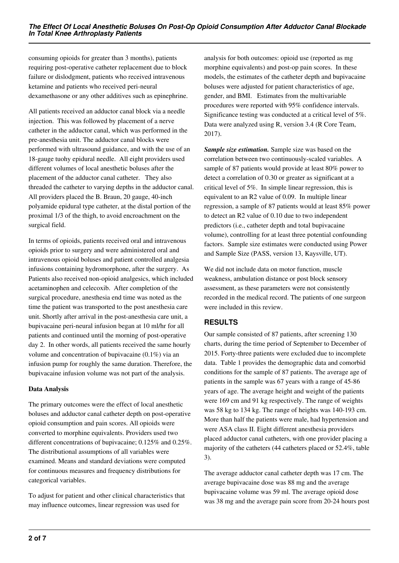consuming opioids for greater than 3 months), patients requiring post-operative catheter replacement due to block failure or dislodgment, patients who received intravenous ketamine and patients who received peri-neural dexamethasone or any other additives such as epinephrine.

All patients received an adductor canal block via a needle injection. This was followed by placement of a nerve catheter in the adductor canal, which was performed in the pre-anesthesia unit. The adductor canal blocks were performed with ultrasound guidance, and with the use of an 18-gauge tuohy epidural needle. All eight providers used different volumes of local anesthetic boluses after the placement of the adductor canal catheter. They also threaded the catheter to varying depths in the adductor canal. All providers placed the B. Braun, 20 gauge, 40-inch polyamide epidural type catheter, at the distal portion of the proximal 1/3 of the thigh, to avoid encroachment on the surgical field.

In terms of opioids, patients received oral and intravenous opioids prior to surgery and were administered oral and intravenous opioid boluses and patient controlled analgesia infusions containing hydromorphone, after the surgery. As Patients also received non-opioid analgesics, which included acetaminophen and celecoxib. After completion of the surgical procedure, anesthesia end time was noted as the time the patient was transported to the post anesthesia care unit. Shortly after arrival in the post-anesthesia care unit, a bupivacaine peri-neural infusion began at 10 ml/hr for all patients and continued until the morning of post-operative day 2. In other words, all patients received the same hourly volume and concentration of bupivacaine (0.1%) via an infusion pump for roughly the same duration. Therefore, the bupivacaine infusion volume was not part of the analysis.

#### **Data Analysis**

The primary outcomes were the effect of local anesthetic boluses and adductor canal catheter depth on post-operative opioid consumption and pain scores. All opioids were converted to morphine equivalents. Providers used two different concentrations of bupivacaine; 0.125% and 0.25%. The distributional assumptions of all variables were examined. Means and standard deviations were computed for continuous measures and frequency distributions for categorical variables.

To adjust for patient and other clinical characteristics that may influence outcomes, linear regression was used for

analysis for both outcomes: opioid use (reported as mg morphine equivalents) and post-op pain scores. In these models, the estimates of the catheter depth and bupivacaine boluses were adjusted for patient characteristics of age, gender, and BMI. Estimates from the multivariable procedures were reported with 95% confidence intervals. Significance testing was conducted at a critical level of 5%. Data were analyzed using R, version 3.4 (R Core Team, 2017).

*Sample size estimation.* Sample size was based on the correlation between two continuously-scaled variables. A sample of 87 patients would provide at least 80% power to detect a correlation of 0.30 or greater as significant at a critical level of 5%. In simple linear regression, this is equivalent to an R2 value of 0.09. In multiple linear regression, a sample of 87 patients would at least 85% power to detect an R2 value of 0.10 due to two independent predictors (i.e., catheter depth and total bupivacaine volume), controlling for at least three potential confounding factors. Sample size estimates were conducted using Power and Sample Size (PASS, version 13, Kaysville, UT).

We did not include data on motor function, muscle weakness, ambulation distance or post block sensory assessment, as these parameters were not consistently recorded in the medical record. The patients of one surgeon were included in this review.

# **RESULTS**

Our sample consisted of 87 patients, after screening 130 charts, during the time period of September to December of 2015. Forty-three patients were excluded due to incomplete data. Table 1 provides the demographic data and comorbid conditions for the sample of 87 patients. The average age of patients in the sample was 67 years with a range of 45-86 years of age. The average height and weight of the patients were 169 cm and 91 kg respectively. The range of weights was 58 kg to 134 kg. The range of heights was 140-193 cm. More than half the patients were male, had hypertension and were ASA class II. Eight different anesthesia providers placed adductor canal catheters, with one provider placing a majority of the catheters (44 catheters placed or 52.4%, table 3).

The average adductor canal catheter depth was 17 cm. The average bupivacaine dose was 88 mg and the average bupivacaine volume was 59 ml. The average opioid dose was 38 mg and the average pain score from 20-24 hours post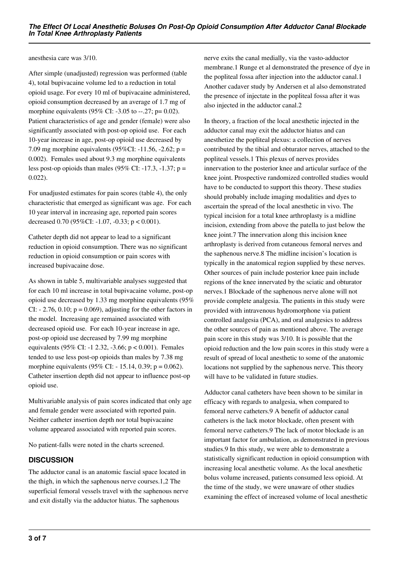anesthesia care was 3/10.

After simple (unadjusted) regression was performed (table 4), total bupivacaine volume led to a reduction in total opioid usage. For every 10 ml of bupivacaine administered, opioid consumption decreased by an average of 1.7 mg of morphine equivalents (95% CI: -3.05 to --.27; p= 0.02). Patient characteristics of age and gender (female) were also significantly associated with post-op opioid use. For each 10-year increase in age, post-op opioid use decreased by 7.09 mg morphine equivalents (95%CI: -11.56, -2.62; p = 0.002). Females used about 9.3 mg morphine equivalents less post-op opioids than males (95% CI: -17.3, -1.37; p = 0.022).

For unadjusted estimates for pain scores (table 4), the only characteristic that emerged as significant was age. For each 10 year interval in increasing age, reported pain scores decreased 0.70 (95%CI: -1.07, -0.33; p < 0.001).

Catheter depth did not appear to lead to a significant reduction in opioid consumption. There was no significant reduction in opioid consumption or pain scores with increased bupivacaine dose.

As shown in table 5, multivariable analyses suggested that for each 10 ml increase in total bupivacaine volume, post-op opioid use decreased by 1.33 mg morphine equivalents (95% CI:  $- 2.76, 0.10; p = 0.069$ , adjusting for the other factors in the model. Increasing age remained associated with decreased opioid use. For each 10-year increase in age, post-op opioid use decreased by 7.99 mg morphine equivalents (95% CI: -1 2.32, -3.66; p < 0.001). Females tended to use less post-op opioids than males by 7.38 mg morphine equivalents (95% CI: - 15.14, 0.39;  $p = 0.062$ ). Catheter insertion depth did not appear to influence post-op opioid use.

Multivariable analysis of pain scores indicated that only age and female gender were associated with reported pain. Neither catheter insertion depth nor total bupivacaine volume appeared associated with reported pain scores.

No patient-falls were noted in the charts screened.

## **DISCUSSION**

The adductor canal is an anatomic fascial space located in the thigh, in which the saphenous nerve courses.1,2 The superficial femoral vessels travel with the saphenous nerve and exit distally via the adductor hiatus. The saphenous

nerve exits the canal medially, via the vasto-adductor membrane.1 Runge et al demonstrated the presence of dye in the popliteal fossa after injection into the adductor canal.1 Another cadaver study by Andersen et al also demonstrated the presence of injectate in the popliteal fossa after it was also injected in the adductor canal.2

In theory, a fraction of the local anesthetic injected in the adductor canal may exit the adductor hiatus and can anesthetize the popliteal plexus: a collection of nerves contributed by the tibial and obturator nerves, attached to the popliteal vessels.1 This plexus of nerves provides innervation to the posterior knee and articular surface of the knee joint. Prospective randomized controlled studies would have to be conducted to support this theory. These studies should probably include imaging modalities and dyes to ascertain the spread of the local anesthetic in vivo. The typical incision for a total knee arthroplasty is a midline incision, extending from above the patella to just below the knee joint.7 The innervation along this incision knee arthroplasty is derived from cutaneous femoral nerves and the saphenous nerve.8 The midline incision's location is typically in the anatomical region supplied by these nerves. Other sources of pain include posterior knee pain include regions of the knee innervated by the sciatic and obturator nerves.1 Blockade of the saphenous nerve alone will not provide complete analgesia. The patients in this study were provided with intravenous hydromorphone via patient controlled analgesia (PCA), and oral analgesics to address the other sources of pain as mentioned above. The average pain score in this study was 3/10. It is possible that the opioid reduction and the low pain scores in this study were a result of spread of local anesthetic to some of the anatomic locations not supplied by the saphenous nerve. This theory will have to be validated in future studies.

Adductor canal catheters have been shown to be similar in efficacy with regards to analgesia, when compared to femoral nerve catheters.9 A benefit of adductor canal catheters is the lack motor blockade, often present with femoral nerve catheters.9 The lack of motor blockade is an important factor for ambulation, as demonstrated in previous studies.9 In this study, we were able to demonstrate a statistically significant reduction in opioid consumption with increasing local anesthetic volume. As the local anesthetic bolus volume increased, patients consumed less opioid. At the time of the study, we were unaware of other studies examining the effect of increased volume of local anesthetic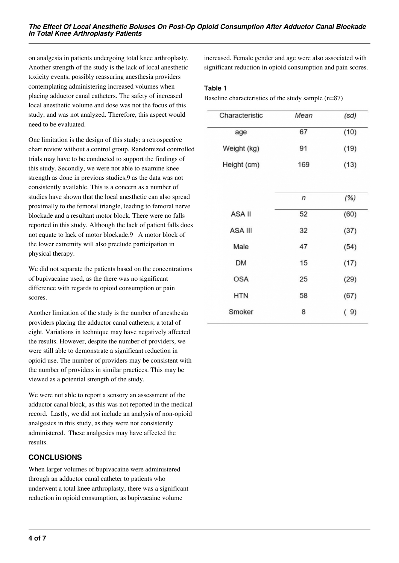on analgesia in patients undergoing total knee arthroplasty. Another strength of the study is the lack of local anesthetic toxicity events, possibly reassuring anesthesia providers contemplating administering increased volumes when placing adductor canal catheters. The safety of increased local anesthetic volume and dose was not the focus of this study, and was not analyzed. Therefore, this aspect would need to be evaluated.

One limitation is the design of this study: a retrospective chart review without a control group. Randomized controlled trials may have to be conducted to support the findings of this study. Secondly, we were not able to examine knee strength as done in previous studies,9 as the data was not consistently available. This is a concern as a number of studies have shown that the local anesthetic can also spread proximally to the femoral triangle, leading to femoral nerve blockade and a resultant motor block. There were no falls reported in this study. Although the lack of patient falls does not equate to lack of motor blockade.9 A motor block of the lower extremity will also preclude participation in physical therapy.

We did not separate the patients based on the concentrations of bupivacaine used, as the there was no significant difference with regards to opioid consumption or pain scores.

Another limitation of the study is the number of anesthesia providers placing the adductor canal catheters; a total of eight. Variations in technique may have negatively affected the results. However, despite the number of providers, we were still able to demonstrate a significant reduction in opioid use. The number of providers may be consistent with the number of providers in similar practices. This may be viewed as a potential strength of the study.

We were not able to report a sensory an assessment of the adductor canal block, as this was not reported in the medical record. Lastly, we did not include an analysis of non-opioid analgesics in this study, as they were not consistently administered. These analgesics may have affected the results.

# **CONCLUSIONS**

When larger volumes of bupivacaine were administered through an adductor canal catheter to patients who underwent a total knee arthroplasty, there was a significant reduction in opioid consumption, as bupivacaine volume

increased. Female gender and age were also associated with significant reduction in opioid consumption and pain scores.

#### **Table 1**

Baseline characteristics of the study sample (n=87)

| Characteristic | Mean | (sd) |
|----------------|------|------|
| age            | 67   | (10) |
| Weight (kg)    | 91   | (19) |
| Height (cm)    | 169  | (13) |
|                |      |      |
|                | n    | (%)  |
| ASA II         | 52   | (60) |
| <b>ASA III</b> | 32   | (37) |
| Male           | 47   | (54) |
| <b>DM</b>      | 15   | (17) |
| <b>OSA</b>     | 25   | (29) |
| <b>HTN</b>     | 58   | (67) |
| Smoker         | 8    | (9)  |
|                |      |      |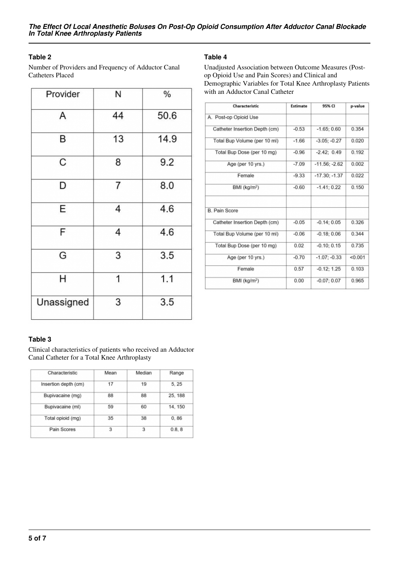## **Table 2**

Number of Providers and Frequency of Adductor Canal Catheters Placed

| Provider   | N  | $\%$ |
|------------|----|------|
| Α          | 44 | 50.6 |
| B          | 13 | 14.9 |
| C          | 8  | 9.2  |
| D          | 7  | 8.0  |
| E          | 4  | 4.6  |
| F          | 4  | 4.6  |
| G          | 3  | 3.5  |
| Η          | 1  | 1.1  |
| Unassigned | 3  | 3.5  |

## **Table 4**

Unadjusted Association between Outcome Measures (Postop Opioid Use and Pain Scores) and Clinical and Demographic Variables for Total Knee Arthroplasty Patients with an Adductor Canal Catheter

| Characteristic                | Estimate | 95% CI          | p-value |
|-------------------------------|----------|-----------------|---------|
| A. Post-op Opioid Use         |          |                 |         |
| Catheter Insertion Depth (cm) | $-0.53$  | $-1.65;0.60$    | 0.354   |
| Total Bup Volume (per 10 ml)  | $-1.66$  | $-3.05; -0.27$  | 0.020   |
| Total Bup Dose (per 10 mg)    | $-0.96$  | $-2.42; 0.49$   | 0.192   |
| Age (per 10 yrs.)             | $-7.09$  | $-11.56: -2.62$ | 0.002   |
| Female                        | $-9.33$  | $-17.30: -1.37$ | 0.022   |
| BMI (kg/m <sup>2</sup> )      | $-0.60$  | $-1.41; 0.22$   | 0.150   |
|                               |          |                 |         |
| <b>B. Pain Score</b>          |          |                 |         |
| Catheter Insertion Depth (cm) | $-0.05$  | $-0.14; 0.05$   | 0.326   |
| Total Bup Volume (per 10 ml)  | $-0.06$  | $-0.18; 0.06$   | 0.344   |
| Total Bup Dose (per 10 mg)    | 0.02     | $-0.10; 0.15$   | 0.735   |
| Age (per 10 yrs.)             | $-0.70$  | $-1.07: -0.33$  | < 0.001 |
| Female                        | 0.57     | $-0.12:1.25$    | 0.103   |
| BMI (kg/m <sup>2</sup> )      | 0.00     | $-0.07; 0.07$   | 0.965   |

## **Table 3**

Clinical characteristics of patients who received an Adductor Canal Catheter for a Total Knee Arthroplasty

| Mean | Median | Range   |
|------|--------|---------|
| 17   | 19     | 5.25    |
| 88   | 88     | 25, 188 |
| 59   | 60     | 14, 150 |
| 35   | 38     | 0.86    |
| 3    | 3      | 0.8.8   |
|      |        |         |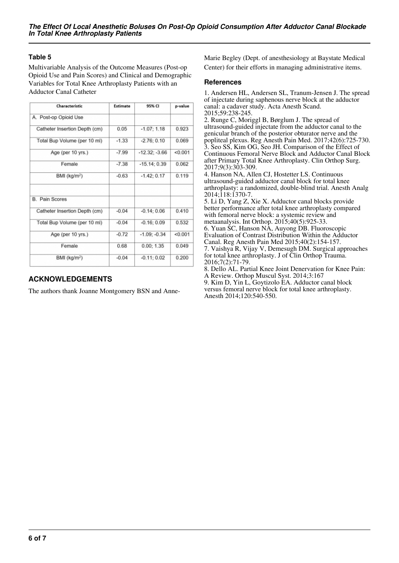## **Table 5**

Multivariable Analysis of the Outcome Measures (Post-op Opioid Use and Pain Scores) and Clinical and Demographic Variables for Total Knee Arthroplasty Patients with an Adductor Canal Catheter

| Characteristic                | Estimate | 95% CI          | p-value |
|-------------------------------|----------|-----------------|---------|
| A. Post-op Opioid Use         |          |                 |         |
| Catheter Insertion Depth (cm) | 0.05     | $-1.07:1.18$    | 0.923   |
| Total Bup Volume (per 10 ml)  | $-1.33$  | $-2.76:0.10$    | 0.069   |
| Age (per 10 yrs.)             | $-7.99$  | $-12.32: -3.66$ | < 0.001 |
| Female                        | $-7.38$  | $-15.14:0.39$   | 0.062   |
| BMI (kg/m <sup>2</sup> )      | $-0.63$  | $-1.42; 0.17$   | 0.119   |
| <b>B.</b> Pain Scores         |          |                 |         |
| Catheter Insertion Depth (cm) | $-0.04$  | $-0.14:0.06$    | 0.410   |
| Total Bup Volume (per 10 ml)  | $-0.04$  | $-0.16; 0.09$   | 0.532   |
| Age (per 10 yrs.)             | $-0.72$  | $-1.09: -0.34$  | < 0.001 |
| Female                        | 0.68     | 0.00; 1.35      | 0.049   |
| BMI (kg/m <sup>2</sup> )      | $-0.04$  | $-0.11; 0.02$   | 0.200   |

# **ACKNOWLEDGEMENTS**

The authors thank Joanne Montgomery BSN and Anne-

Marie Begley (Dept. of anesthesiology at Baystate Medical Center) for their efforts in managing administrative items.

#### **References**

1. Andersen HL, Andersen SL, Tranum-Jensen J. The spread of injectate during saphenous nerve block at the adductor canal: a cadaver study. Acta Anesth Scand. 2015;59:238-245.

2. Runge C, Moriggl B, Børglum J. The spread of ultrasound-guided injectate from the adductor canal to the genicular branch of the posterior obturator nerve and the popliteal plexus. Reg Anesth Pain Med. 2017;42(6):725-730. 3. Seo SS, Kim OG, Seo JH. Comparison of the Effect of Continuous Femoral Nerve Block and Adductor Canal Block after Primary Total Knee Arthroplasty. Clin Orthop Surg. 2017;9(3):303-309.

4. Hanson NA, Allen CJ, Hostetter LS. Continuous ultrasound-guided adductor canal block for total knee arthroplasty: a randomized, double-blind trial. Anesth Analg 2014;118:1370-7.

5. Li D, Yang Z, Xie X. Adductor canal blocks provide better performance after total knee arthroplasty compared with femoral nerve block: a systemic review and metaanalysis. Int Orthop. 2015;40(5):925-33. 6. Yuan SC, Hanson NA, Auyong DB. Fluoroscopic Evaluation of Contrast Distribution Within the Adductor Canal. Reg Anesth Pain Med 2015;40(2):154-157. 7. Vaishya R, Vijay V, Demesugh DM. Surgical approaches for total knee arthroplasty. J of Clin Orthop Trauma. 2016;7(2):71-79. 8. Dello AL. Partial Knee Joint Denervation for Knee Pain:

A Review. Orthop Muscul Syst. 2014;3:167 9. Kim D, Yin L, Goytizolo EA. Adductor canal block

versus femoral nerve block for total knee arthroplasty. Anesth 2014;120:540-550.